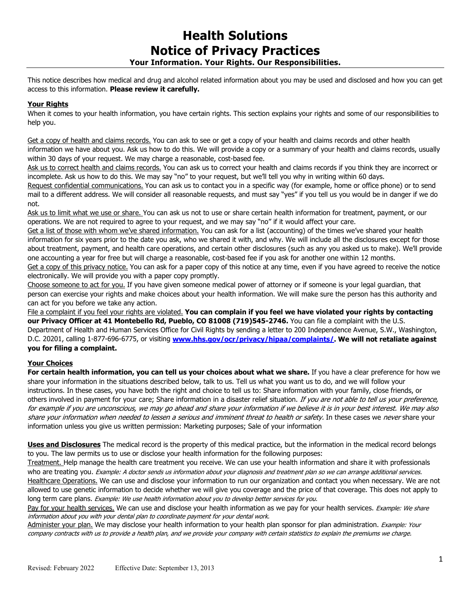# **Health Solutions Notice of Privacy Practices**

**Your Information. Your Rights. Our Responsibilities.**

This notice describes how medical and drug and alcohol related information about you may be used and disclosed and how you can get access to this information. **Please review it carefully.**

#### **Your Rights**

When it comes to your health information, you have certain rights. This section explains your rights and some of our responsibilities to help you.

Get a copy of health and claims records. You can ask to see or get a copy of your health and claims records and other health information we have about you. Ask us how to do this. We will provide a copy or a summary of your health and claims records, usually within 30 days of your request. We may charge a reasonable, cost-based fee.

Ask us to correct health and claims records. You can ask us to correct your health and claims records if you think they are incorrect or incomplete. Ask us how to do this. We may say "no" to your request, but we'll tell you why in writing within 60 days.

Request confidential communications. You can ask us to contact you in a specific way (for example, home or office phone) or to send mail to a different address. We will consider all reasonable requests, and must say "yes" if you tell us you would be in danger if we do not.

Ask us to limit what we use or share. You can ask us not to use or share certain health information for treatment, payment, or our operations. We are not required to agree to your request, and we may say "no" if it would affect your care.

Get a list of those with whom we've shared information. You can ask for a list (accounting) of the times we've shared your health information for six years prior to the date you ask, who we shared it with, and why. We will include all the disclosures except for those about treatment, payment, and health care operations, and certain other disclosures (such as any you asked us to make). We'll provide one accounting a year for free but will charge a reasonable, cost-based fee if you ask for another one within 12 months.

Get a copy of this privacy notice. You can ask for a paper copy of this notice at any time, even if you have agreed to receive the notice electronically. We will provide you with a paper copy promptly.

Choose someone to act for you. If you have given someone medical power of attorney or if someone is your legal guardian, that person can exercise your rights and make choices about your health information. We will make sure the person has this authority and can act for you before we take any action.

File a complaint if you feel your rights are violated. **You can complain if you feel we have violated your rights by contacting our Privacy Officer at 41 Montebello Rd, Pueblo, CO 81008 (719)545-2746.** You can file a complaint with the U.S. Department of Health and Human Services Office for Civil Rights by sending a letter to 200 Independence Avenue, S.W., Washington, D.C. 20201, calling 1-877-696-6775, or visiting **[www.hhs.gov/ocr/privacy/hipaa/complaints/.](http://www.hhs.gov/ocr/privacy/hipaa/complaints/) We will not retaliate against you for filing a complaint.**

### **Your Choices**

**For certain health information, you can tell us your choices about what we share.** If you have a clear preference for how we share your information in the situations described below, talk to us. Tell us what you want us to do, and we will follow your instructions. In these cases, you have both the right and choice to tell us to: Share information with your family, close friends, or others involved in payment for your care; Share information in a disaster relief situation. If you are not able to tell us your preference, for example if you are unconscious, we may go ahead and share your information if we believe it is in your best interest. We may also share your information when needed to lessen a serious and imminent threat to health or safety. In these cases we never share your information unless you give us written permission: Marketing purposes; Sale of your information

**Uses and Disclosures** The medical record is the property of this medical practice, but the information in the medical record belongs to you. The law permits us to use or disclose your health information for the following purposes:

Treatment. Help manage the health care treatment you receive. We can use your health information and share it with professionals who are treating you. Example: A doctor sends us information about your diagnosis and treatment plan so we can arrange additional services. Healthcare Operations. We can use and disclose your information to run our organization and contact you when necessary. We are not allowed to use genetic information to decide whether we will give you coverage and the price of that coverage. This does not apply to long term care plans. Example: We use health information about you to develop better services for you.

Pay for your health services. We can use and disclose your health information as we pay for your health services. Example: We share information about you with your dental plan to coordinate payment for your dental work.

Administer your plan. We may disclose your health information to your health plan sponsor for plan administration. *Example: Your* company contracts with us to provide a health plan, and we provide your company with certain statistics to explain the premiums we charge.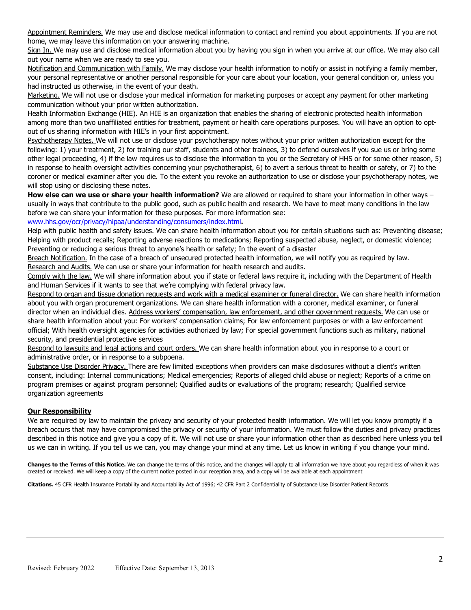Appointment Reminders. We may use and disclose medical information to contact and remind you about appointments. If you are not home, we may leave this information on your answering machine.

Sign In. We may use and disclose medical information about you by having you sign in when you arrive at our office. We may also call out your name when we are ready to see you.

Notification and Communication with Family. We may disclose your health information to notify or assist in notifying a family member, your personal representative or another personal responsible for your care about your location, your general condition or, unless you had instructed us otherwise, in the event of your death.

Marketing. We will not use or disclose your medical information for marketing purposes or accept any payment for other marketing communication without your prior written authorization.

Health Information Exchange (HIE). An HIE is an organization that enables the sharing of electronic protected health information among more than two unaffiliated entities for treatment, payment or health care operations purposes. You will have an option to optout of us sharing information with HIE's in your first appointment.

Psychotherapy Notes. We will not use or disclose your psychotherapy notes without your prior written authorization except for the following: 1) your treatment, 2) for training our staff, students and other trainees, 3) to defend ourselves if you sue us or bring some other legal proceeding, 4) if the law requires us to disclose the information to you or the Secretary of HHS or for some other reason, 5) in response to health oversight activities concerning your psychotherapist, 6) to avert a serious threat to health or safety, or 7) to the coroner or medical examiner after you die. To the extent you revoke an authorization to use or disclose your psychotherapy notes, we will stop using or disclosing these notes.

**How else can we use or share your health information?** We are allowed or required to share your information in other ways – usually in ways that contribute to the public good, such as public health and research. We have to meet many conditions in the law before we can share your information for these purposes. For more information see:

#### [www.hhs.gov/ocr/privacy/hipaa/understanding/consumers/index.html](http://www.hhs.gov/ocr/privacy/hipaa/understanding/consumers/index.html)**.**

Help with public health and safety issues. We can share health information about you for certain situations such as: Preventing disease; Helping with product recalls; Reporting adverse reactions to medications; Reporting suspected abuse, neglect, or domestic violence; Preventing or reducing a serious threat to anyone's health or safety; In the event of a disaster

Breach Notification. In the case of a breach of unsecured protected health information, we will notify you as required by law. Research and Audits. We can use or share your information for health research and audits.

Comply with the law. We will share information about you if state or federal laws require it, including with the Department of Health and Human Services if it wants to see that we're complying with federal privacy law.

Respond to organ and tissue donation requests and work with a medical examiner or funeral director. We can share health information about you with organ procurement organizations. We can share health information with a coroner, medical examiner, or funeral director when an individual dies. Address workers' compensation, law enforcement, and other government requests. We can use or share health information about you: For workers' compensation claims; For law enforcement purposes or with a law enforcement official; With health oversight agencies for activities authorized by law; For special government functions such as military, national security, and presidential protective services

Respond to lawsuits and legal actions and court orders. We can share health information about you in response to a court or administrative order, or in response to a subpoena.

Substance Use Disorder Privacy. There are few limited exceptions when providers can make disclosures without a client's written consent, including: Internal communications; Medical emergencies; Reports of alleged child abuse or neglect; Reports of a crime on program premises or against program personnel; Qualified audits or evaluations of the program; research; Qualified service organization agreements

#### **Our Responsibility**

We are required by law to maintain the privacy and security of your protected health information. We will let you know promptly if a breach occurs that may have compromised the privacy or security of your information. We must follow the duties and privacy practices described in this notice and give you a copy of it. We will not use or share your information other than as described here unless you tell us we can in writing. If you tell us we can, you may change your mind at any time. Let us know in writing if you change your mind.

**Changes to the Terms of this Notice.** We can change the terms of this notice, and the changes will apply to all information we have about you regardless of when it was created or received. We will keep a copy of the current notice posted in our reception area, and a copy will be available at each appointment

**Citations.** 45 CFR Health Insurance Portability and Accountability Act of 1996; 42 CFR Part 2 Confidentiality of Substance Use Disorder Patient Records